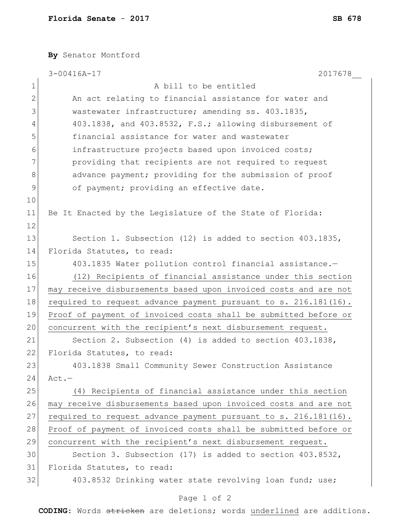**By** Senator Montford

|                | $3 - 00416A - 17$<br>2017678                                    |
|----------------|-----------------------------------------------------------------|
| $\mathbf 1$    | A bill to be entitled                                           |
| $\mathbf{2}$   | An act relating to financial assistance for water and           |
| 3              | wastewater infrastructure; amending ss. 403.1835,               |
| 4              | 403.1838, and 403.8532, F.S.; allowing disbursement of          |
| 5              | financial assistance for water and wastewater                   |
| 6              | infrastructure projects based upon invoiced costs;              |
| 7              | providing that recipients are not required to request           |
| 8              | advance payment; providing for the submission of proof          |
| $\overline{9}$ | of payment; providing an effective date.                        |
| 10             |                                                                 |
| 11             | Be It Enacted by the Legislature of the State of Florida:       |
| 12             |                                                                 |
| 13             | Section 1. Subsection (12) is added to section 403.1835,        |
| 14             | Florida Statutes, to read:                                      |
| 15             | 403.1835 Water pollution control financial assistance.-         |
| 16             | (12) Recipients of financial assistance under this section      |
| 17             | may receive disbursements based upon invoiced costs and are not |
| 18             | required to request advance payment pursuant to s. 216.181(16). |
| 19             | Proof of payment of invoiced costs shall be submitted before or |
| 20             | concurrent with the recipient's next disbursement request.      |
| 21             | Section 2. Subsection $(4)$ is added to section $403.1838$ ,    |
| 22             | Florida Statutes, to read:                                      |
| 23             | 403.1838 Small Community Sewer Construction Assistance          |
| 24             | $Act.-$                                                         |
| 25             | (4) Recipients of financial assistance under this section       |
| 26             | may receive disbursements based upon invoiced costs and are not |
| 27             | required to request advance payment pursuant to s. 216.181(16). |
| 28             | Proof of payment of invoiced costs shall be submitted before or |
| 29             | concurrent with the recipient's next disbursement request.      |
| 30             | Section 3. Subsection (17) is added to section $403.8532$ ,     |
| 31             | Florida Statutes, to read:                                      |
| 32             | 403.8532 Drinking water state revolving loan fund; use;         |

## Page 1 of 2

**CODING**: Words stricken are deletions; words underlined are additions.